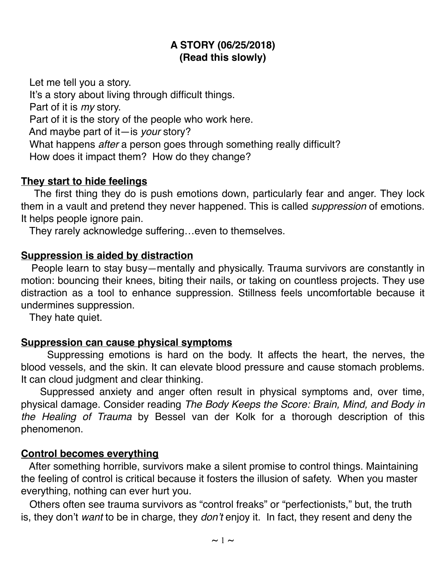### **A STORY (06/25/2018) (Read this slowly)**

Let me tell you a story.

It's a story about living through difficult things.

Part of it is *my* story.

Part of it is the story of the people who work here.

And maybe part of it—is *your* story?

What happens *after* a person goes through something really difficult?

How does it impact them? How do they change?

### **They start to hide feelings**

 The first thing they do is push emotions down, particularly fear and anger. They lock them in a vault and pretend they never happened. This is called *suppression* of emotions. It helps people ignore pain.

They rarely acknowledge suffering…even to themselves.

### **Suppression is aided by distraction**

 People learn to stay busy—mentally and physically. Trauma survivors are constantly in motion: bouncing their knees, biting their nails, or taking on countless projects. They use distraction as a tool to enhance suppression. Stillness feels uncomfortable because it undermines suppression.

They hate quiet.

### **Suppression can cause physical symptoms**

Suppressing emotions is hard on the body. It affects the heart, the nerves, the blood vessels, and the skin. It can elevate blood pressure and cause stomach problems. It can cloud judgment and clear thinking.

 Suppressed anxiety and anger often result in physical symptoms and, over time, physical damage. Consider reading *The Body Keeps the Score: Brain, Mind, and Body in the Healing of Trauma* by Bessel van der Kolk for a thorough description of this phenomenon.

### **Control becomes everything**

 After something horrible, survivors make a silent promise to control things. Maintaining the feeling of control is critical because it fosters the illusion of safety. When you master everything, nothing can ever hurt you.

 Others often see trauma survivors as "control freaks" or "perfectionists," but, the truth is, they don't *want* to be in charge, they *don't* enjoy it. In fact, they resent and deny the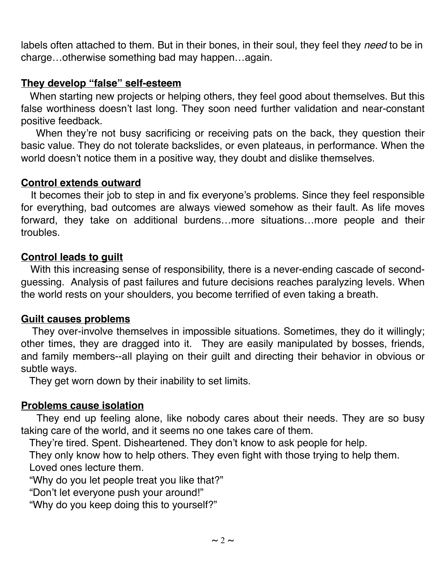labels often attached to them. But in their bones, in their soul, they feel they *need* to be in charge…otherwise something bad may happen…again.

### **They develop "false" self-esteem**

 When starting new projects or helping others, they feel good about themselves. But this false worthiness doesn't last long. They soon need further validation and near-constant positive feedback.

 When they're not busy sacrificing or receiving pats on the back, they question their basic value. They do not tolerate backslides, or even plateaus, in performance. When the world doesn't notice them in a positive way, they doubt and dislike themselves.

### **Control extends outward**

 It becomes their job to step in and fix everyone's problems. Since they feel responsible for everything, bad outcomes are always viewed somehow as their fault. As life moves forward, they take on additional burdens…more situations…more people and their troubles.

### **Control leads to guilt**

 With this increasing sense of responsibility, there is a never-ending cascade of secondguessing. Analysis of past failures and future decisions reaches paralyzing levels. When the world rests on your shoulders, you become terrified of even taking a breath.

#### **Guilt causes problems**

 They over-involve themselves in impossible situations. Sometimes, they do it willingly; other times, they are dragged into it. They are easily manipulated by bosses, friends, and family members--all playing on their guilt and directing their behavior in obvious or subtle ways.

They get worn down by their inability to set limits.

### **Problems cause isolation**

 They end up feeling alone, like nobody cares about their needs. They are so busy taking care of the world, and it seems no one takes care of them.

They're tired. Spent. Disheartened. They don't know to ask people for help.

 They only know how to help others. They even fight with those trying to help them. Loved ones lecture them.

"Why do you let people treat you like that?"

"Don't let everyone push your around!"

"Why do you keep doing this to yourself?"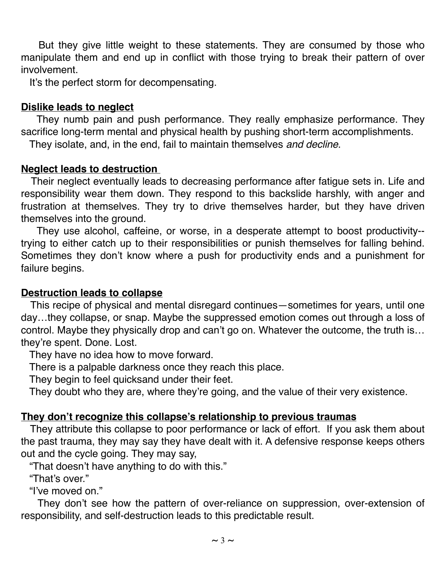But they give little weight to these statements. They are consumed by those who manipulate them and end up in conflict with those trying to break their pattern of over involvement.

It's the perfect storm for decompensating.

### **Dislike leads to neglect**

 They numb pain and push performance. They really emphasize performance. They sacrifice long-term mental and physical health by pushing short-term accomplishments.

They isolate, and, in the end, fail to maintain themselves *and decline*.

### **Neglect leads to destruction**

 Their neglect eventually leads to decreasing performance after fatigue sets in. Life and responsibility wear them down. They respond to this backslide harshly, with anger and frustration at themselves. They try to drive themselves harder, but they have driven themselves into the ground.

 They use alcohol, caffeine, or worse, in a desperate attempt to boost productivity- trying to either catch up to their responsibilities or punish themselves for falling behind. Sometimes they don't know where a push for productivity ends and a punishment for failure begins.

### **Destruction leads to collapse**

 This recipe of physical and mental disregard continues—sometimes for years, until one day…they collapse, or snap. Maybe the suppressed emotion comes out through a loss of control. Maybe they physically drop and can't go on. Whatever the outcome, the truth is… they're spent. Done. Lost.

They have no idea how to move forward.

There is a palpable darkness once they reach this place.

They begin to feel quicksand under their feet.

They doubt who they are, where they're going, and the value of their very existence.

### **They don't recognize this collapse's relationship to previous traumas**

 They attribute this collapse to poor performance or lack of effort. If you ask them about the past trauma, they may say they have dealt with it. A defensive response keeps others out and the cycle going. They may say,

"That doesn't have anything to do with this."

"That's over."

"I've moved on."

 They don't see how the pattern of over-reliance on suppression, over-extension of responsibility, and self-destruction leads to this predictable result.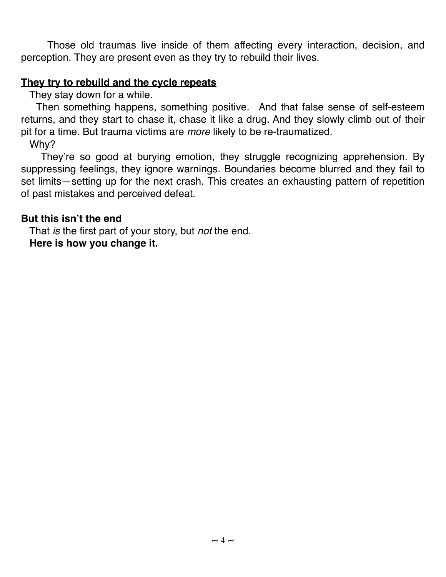Those old traumas live inside of them affecting every interaction, decision, and perception. They are present even as they try to rebuild their lives.

### **They try to rebuild and the cycle repeats**

They stay down for a while.

 Then something happens, something positive. And that false sense of self-esteem returns, and they start to chase it, chase it like a drug. And they slowly climb out of their pit for a time. But trauma victims are *more* likely to be re-traumatized.

Why?

 They're so good at burying emotion, they struggle recognizing apprehension. By suppressing feelings, they ignore warnings. Boundaries become blurred and they fail to set limits—setting up for the next crash. This creates an exhausting pattern of repetition of past mistakes and perceived defeat.

### **But this isn't the end**

 That *is* the first part of your story, but *not* the end. **Here is how you change it.**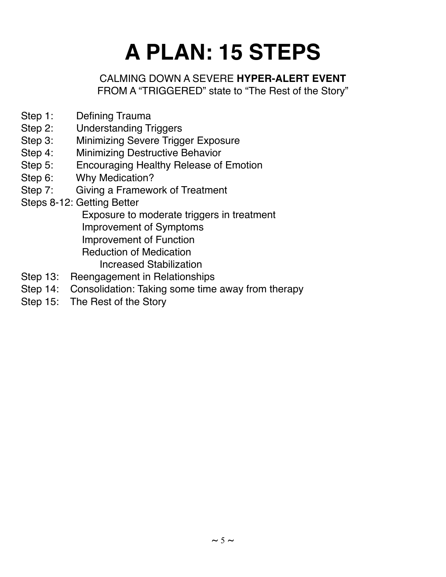# **A PLAN: 15 STEPS**

### CALMING DOWN A SEVERE **HYPER-ALERT EVENT** FROM A "TRIGGERED" state to "The Rest of the Story"

- Step 1: Defining Trauma
- Step 2: Understanding Triggers
- Step 3: Minimizing Severe Trigger Exposure
- Step 4: Minimizing Destructive Behavior
- Step 5: Encouraging Healthy Release of Emotion
- Step 6: Why Medication?
- Step 7: Giving a Framework of Treatment
- Steps 8-12: Getting Better

 Exposure to moderate triggers in treatment Improvement of Symptoms

Improvement of Function

Reduction of Medication

- Increased Stabilization
- Step 13: Reengagement in Relationships
- Step 14: Consolidation: Taking some time away from therapy
- Step 15: The Rest of the Story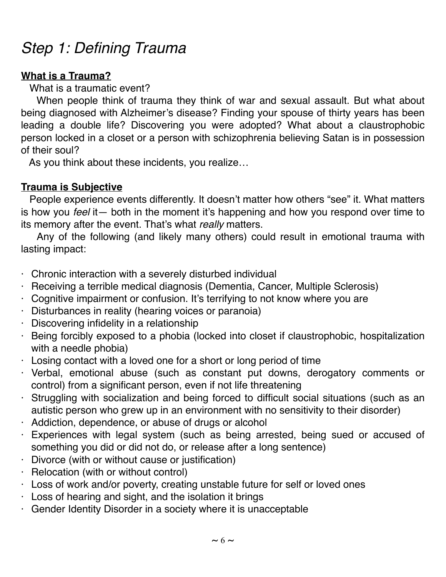# *Step 1: Defining Trauma*

### **What is a Trauma?**

What is a traumatic event?

 When people think of trauma they think of war and sexual assault. But what about being diagnosed with Alzheimer's disease? Finding your spouse of thirty years has been leading a double life? Discovering you were adopted? What about a claustrophobic person locked in a closet or a person with schizophrenia believing Satan is in possession of their soul?

As you think about these incidents, you realize…

### **Trauma is Subjective**

People experience events differently. It doesn't matter how others "see" it. What matters is how you *feel* it— both in the moment it's happening and how you respond over time to its memory after the event. That's what *really* matters.

 Any of the following (and likely many others) could result in emotional trauma with lasting impact:

- · Chronic interaction with a severely disturbed individual
- · Receiving a terrible medical diagnosis (Dementia, Cancer, Multiple Sclerosis)
- · Cognitive impairment or confusion. It's terrifying to not know where you are
- · Disturbances in reality (hearing voices or paranoia)
- · Discovering infidelity in a relationship
- · Being forcibly exposed to a phobia (locked into closet if claustrophobic, hospitalization with a needle phobia)
- $\cdot$  Losing contact with a loved one for a short or long period of time
- · Verbal, emotional abuse (such as constant put downs, derogatory comments or control) from a significant person, even if not life threatening
- · Struggling with socialization and being forced to difficult social situations (such as an autistic person who grew up in an environment with no sensitivity to their disorder)
- · Addiction, dependence, or abuse of drugs or alcohol
- · Experiences with legal system (such as being arrested, being sued or accused of something you did or did not do, or release after a long sentence)
- · Divorce (with or without cause or justification)
- · Relocation (with or without control)
- · Loss of work and/or poverty, creating unstable future for self or loved ones
- $\cdot$  Loss of hearing and sight, and the isolation it brings
- · Gender Identity Disorder in a society where it is unacceptable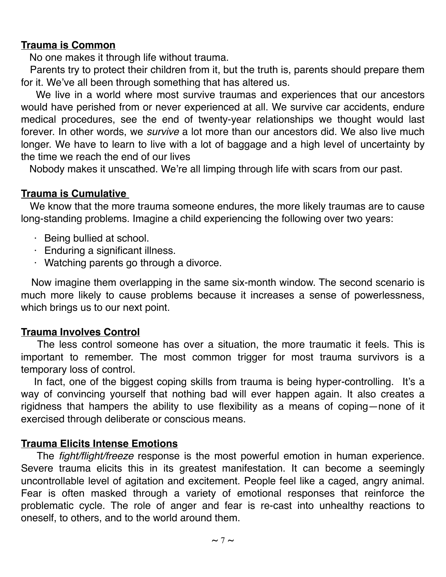### **Trauma is Common**

No one makes it through life without trauma.

 Parents try to protect their children from it, but the truth is, parents should prepare them for it. We've all been through something that has altered us.

 We live in a world where most survive traumas and experiences that our ancestors would have perished from or never experienced at all. We survive car accidents, endure medical procedures, see the end of twenty-year relationships we thought would last forever. In other words, we *survive* a lot more than our ancestors did. We also live much longer. We have to learn to live with a lot of baggage and a high level of uncertainty by the time we reach the end of our lives

Nobody makes it unscathed. We're all limping through life with scars from our past.

### **Trauma is Cumulative**

 We know that the more trauma someone endures, the more likely traumas are to cause long-standing problems. Imagine a child experiencing the following over two years:

- · Being bullied at school.
- · Enduring a significant illness.
- · Watching parents go through a divorce.

 Now imagine them overlapping in the same six-month window. The second scenario is much more likely to cause problems because it increases a sense of powerlessness, which brings us to our next point.

### **Trauma Involves Control**

The less control someone has over a situation, the more traumatic it feels. This is important to remember. The most common trigger for most trauma survivors is a temporary loss of control.

In fact, one of the biggest coping skills from trauma is being hyper-controlling. It's a way of convincing yourself that nothing bad will ever happen again. It also creates a rigidness that hampers the ability to use flexibility as a means of coping—none of it exercised through deliberate or conscious means.

### **Trauma Elicits Intense Emotions**

 The *fight/flight/freeze* response is the most powerful emotion in human experience. Severe trauma elicits this in its greatest manifestation. It can become a seemingly uncontrollable level of agitation and excitement. People feel like a caged, angry animal. Fear is often masked through a variety of emotional responses that reinforce the problematic cycle. The role of anger and fear is re-cast into unhealthy reactions to oneself, to others, and to the world around them.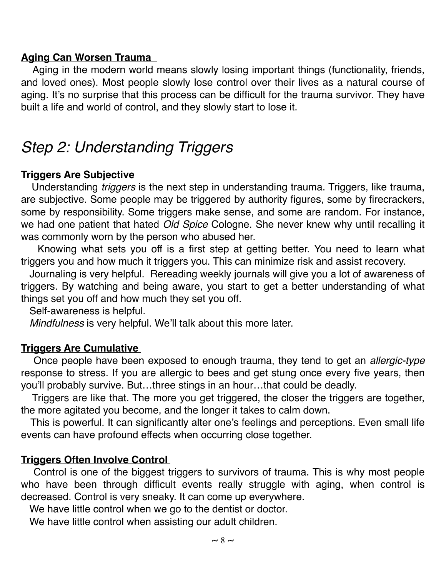### **Aging Can Worsen Trauma**

Aging in the modern world means slowly losing important things (functionality, friends, and loved ones). Most people slowly lose control over their lives as a natural course of aging. It's no surprise that this process can be difficult for the trauma survivor. They have built a life and world of control, and they slowly start to lose it.

### *Step 2: Understanding Triggers*

### **Triggers Are Subjective**

Understanding *triggers* is the next step in understanding trauma. Triggers, like trauma, are subjective. Some people may be triggered by authority figures, some by firecrackers, some by responsibility. Some triggers make sense, and some are random. For instance, we had one patient that hated *Old Spice* Cologne. She never knew why until recalling it was commonly worn by the person who abused her.

 Knowing what sets you off is a first step at getting better. You need to learn what triggers you and how much it triggers you. This can minimize risk and assist recovery.

 Journaling is very helpful. Rereading weekly journals will give you a lot of awareness of triggers. By watching and being aware, you start to get a better understanding of what things set you off and how much they set you off.

Self-awareness is helpful.

*Mindfulness* is very helpful. We'll talk about this more later.

### **Triggers Are Cumulative**

Once people have been exposed to enough trauma, they tend to get an *allergic-type*  response to stress. If you are allergic to bees and get stung once every five years, then you'll probably survive. But…three stings in an hour…that could be deadly.

 Triggers are like that. The more you get triggered, the closer the triggers are together, the more agitated you become, and the longer it takes to calm down.

 This is powerful. It can significantly alter one's feelings and perceptions. Even small life events can have profound effects when occurring close together.

### **Triggers Often Involve Control**

Control is one of the biggest triggers to survivors of trauma. This is why most people who have been through difficult events really struggle with aging, when control is decreased. Control is very sneaky. It can come up everywhere.

We have little control when we go to the dentist or doctor.

We have little control when assisting our adult children.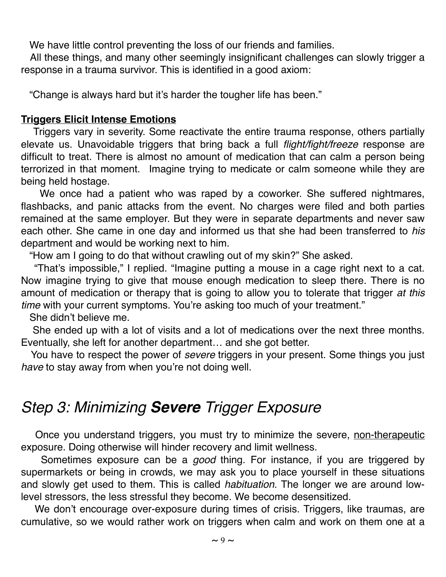We have little control preventing the loss of our friends and families.

 All these things, and many other seemingly insignificant challenges can slowly trigger a response in a trauma survivor. This is identified in a good axiom:

"Change is always hard but it's harder the tougher life has been."

### **Triggers Elicit Intense Emotions**

Triggers vary in severity. Some reactivate the entire trauma response, others partially elevate us. Unavoidable triggers that bring back a full *flight/fight/freeze* response are difficult to treat. There is almost no amount of medication that can calm a person being terrorized in that moment. Imagine trying to medicate or calm someone while they are being held hostage.

 We once had a patient who was raped by a coworker. She suffered nightmares, flashbacks, and panic attacks from the event. No charges were filed and both parties remained at the same employer. But they were in separate departments and never saw each other. She came in one day and informed us that she had been transferred to *his* department and would be working next to him.

"How am I going to do that without crawling out of my skin?" She asked.

 "That's impossible," I replied. "Imagine putting a mouse in a cage right next to a cat. Now imagine trying to give that mouse enough medication to sleep there. There is no amount of medication or therapy that is going to allow you to tolerate that trigger *at this time* with your current symptoms. You're asking too much of your treatment."

She didn't believe me.

 She ended up with a lot of visits and a lot of medications over the next three months. Eventually, she left for another department… and she got better.

 You have to respect the power of *severe* triggers in your present. Some things you just *have* to stay away from when you're not doing well.

# *Step 3: Minimizing Severe Trigger Exposure*

Once you understand triggers, you must try to minimize the severe, non-therapeutic exposure. Doing otherwise will hinder recovery and limit wellness.

 Sometimes exposure can be a *good* thing. For instance, if you are triggered by supermarkets or being in crowds, we may ask you to place yourself in these situations and slowly get used to them. This is called *habituation.* The longer we are around lowlevel stressors, the less stressful they become. We become desensitized.

We don't encourage over-exposure during times of crisis. Triggers, like traumas, are cumulative, so we would rather work on triggers when calm and work on them one at a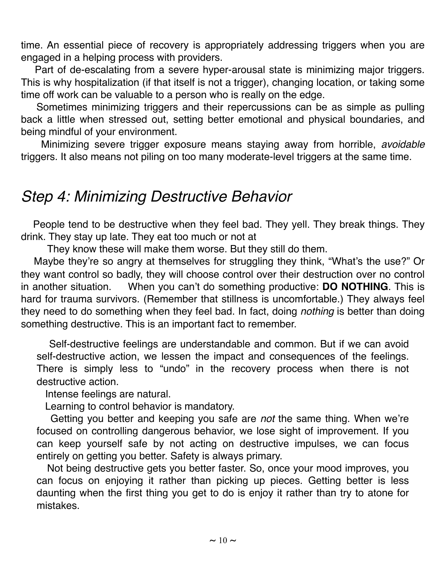time. An essential piece of recovery is appropriately addressing triggers when you are engaged in a helping process with providers.

 Part of de-escalating from a severe hyper-arousal state is minimizing major triggers. This is why hospitalization (if that itself is not a trigger), changing location, or taking some time off work can be valuable to a person who is really on the edge.

 Sometimes minimizing triggers and their repercussions can be as simple as pulling back a little when stressed out, setting better emotional and physical boundaries, and being mindful of your environment.

 Minimizing severe trigger exposure means staying away from horrible, *avoidable* triggers. It also means not piling on too many moderate-level triggers at the same time.

### *Step 4: Minimizing Destructive Behavior*

 People tend to be destructive when they feel bad. They yell. They break things. They drink. They stay up late. They eat too much or not at

They know these will make them worse. But they still do them.

 Maybe they're so angry at themselves for struggling they think, "What's the use?" Or they want control so badly, they will choose control over their destruction over no control in another situation. When you can't do something productive: **DO NOTHING**. This is hard for trauma survivors. (Remember that stillness is uncomfortable.) They always feel they need to do something when they feel bad. In fact, doing *nothing* is better than doing something destructive. This is an important fact to remember.

 Self-destructive feelings are understandable and common. But if we can avoid self-destructive action, we lessen the impact and consequences of the feelings. There is simply less to "undo" in the recovery process when there is not destructive action.

Intense feelings are natural.

Learning to control behavior is mandatory.

 Getting you better and keeping you safe are *not* the same thing. When we're focused on controlling dangerous behavior, we lose sight of improvement. If you can keep yourself safe by not acting on destructive impulses, we can focus entirely on getting you better. Safety is always primary.

 Not being destructive gets you better faster. So, once your mood improves, you can focus on enjoying it rather than picking up pieces. Getting better is less daunting when the first thing you get to do is enjoy it rather than try to atone for mistakes.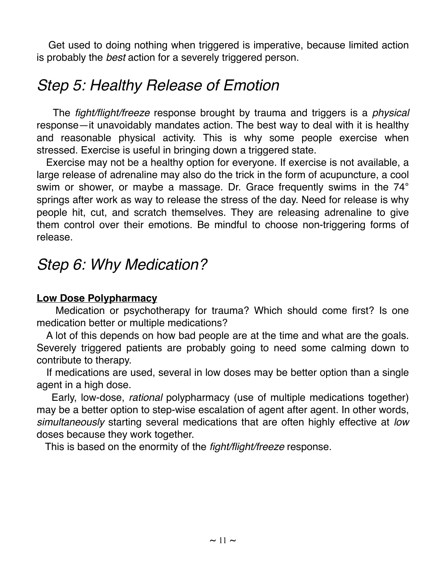Get used to doing nothing when triggered is imperative, because limited action is probably the *best* action for a severely triggered person.

# *Step 5: Healthy Release of Emotion*

 The *fight/flight/freeze* response brought by trauma and triggers is a *physical*  response—it unavoidably mandates action. The best way to deal with it is healthy and reasonable physical activity. This is why some people exercise when stressed. Exercise is useful in bringing down a triggered state.

 Exercise may not be a healthy option for everyone. If exercise is not available, a large release of adrenaline may also do the trick in the form of acupuncture, a cool swim or shower, or maybe a massage. Dr. Grace frequently swims in the 74° springs after work as way to release the stress of the day. Need for release is why people hit, cut, and scratch themselves. They are releasing adrenaline to give them control over their emotions. Be mindful to choose non-triggering forms of release.

### *Step 6: Why Medication?*

### **Low Dose Polypharmacy**

Medication or psychotherapy for trauma? Which should come first? Is one medication better or multiple medications?

 A lot of this depends on how bad people are at the time and what are the goals. Severely triggered patients are probably going to need some calming down to contribute to therapy.

 If medications are used, several in low doses may be better option than a single agent in a high dose.

 Early, low-dose, *rational* polypharmacy (use of multiple medications together) may be a better option to step-wise escalation of agent after agent. In other words, *simultaneously* starting several medications that are often highly effective at *low*  doses because they work together.

This is based on the enormity of the *fight/flight/freeze* response.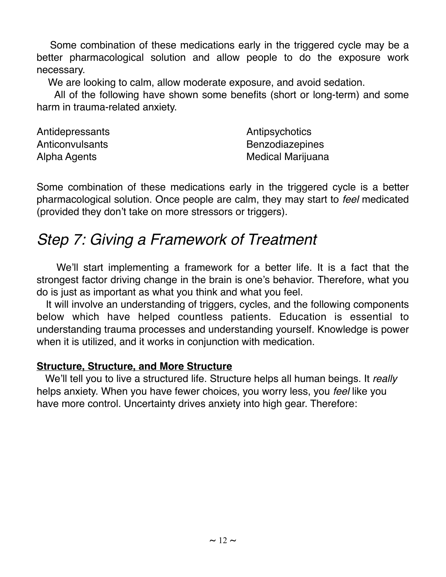Some combination of these medications early in the triggered cycle may be a better pharmacological solution and allow people to do the exposure work necessary.

We are looking to calm, allow moderate exposure, and avoid sedation.

 All of the following have shown some benefits (short or long-term) and some harm in trauma-related anxiety.

| Antidepressants | Antipsychotics           |
|-----------------|--------------------------|
| Anticonvulsants | <b>Benzodiazepines</b>   |
| Alpha Agents    | <b>Medical Marijuana</b> |

Some combination of these medications early in the triggered cycle is a better pharmacological solution. Once people are calm, they may start to *feel* medicated (provided they don't take on more stressors or triggers).

# *Step 7: Giving a Framework of Treatment*

 We'll start implementing a framework for a better life. It is a fact that the strongest factor driving change in the brain is one's behavior. Therefore, what you do is just as important as what you think and what you feel.

 It will involve an understanding of triggers, cycles, and the following components below which have helped countless patients. Education is essential to understanding trauma processes and understanding yourself. Knowledge is power when it is utilized, and it works in conjunction with medication.

### **Structure, Structure, and More Structure**

 We'll tell you to live a structured life. Structure helps all human beings. It *really* helps anxiety. When you have fewer choices, you worry less, you *feel* like you have more control. Uncertainty drives anxiety into high gear. Therefore: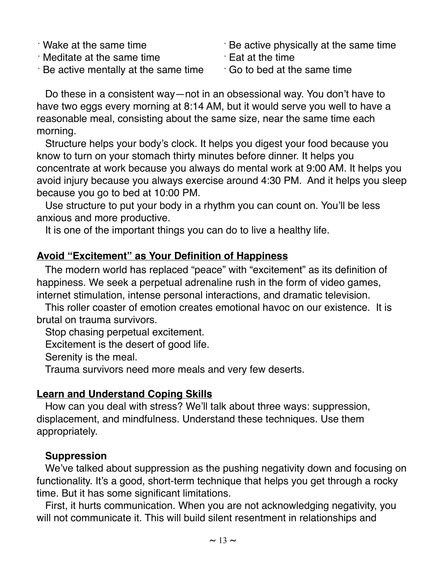- ⋅ Wake at the same time
- ⋅ Meditate at the same time
- $\cdot$  Be active mentally at the same time
- $\cdot$  Be active physically at the same time
- ⋅Eat at the time
- $\cdot$  Go to bed at the same time

 Do these in a consistent way—not in an obsessional way. You don't have to have two eggs every morning at 8:14 AM, but it would serve you well to have a reasonable meal, consisting about the same size, near the same time each morning.

 Structure helps your body's clock. It helps you digest your food because you know to turn on your stomach thirty minutes before dinner. It helps you concentrate at work because you always do mental work at 9:00 AM. It helps you avoid injury because you always exercise around 4:30 PM. And it helps you sleep because you go to bed at 10:00 PM.

 Use structure to put your body in a rhythm you can count on. You'll be less anxious and more productive.

It is one of the important things you can do to live a healthy life.

### **Avoid "Excitement" as Your Definition of Happiness**

 The modern world has replaced "peace" with "excitement" as its definition of happiness. We seek a perpetual adrenaline rush in the form of video games, internet stimulation, intense personal interactions, and dramatic television.

 This roller coaster of emotion creates emotional havoc on our existence. It is brutal on trauma survivors.

Stop chasing perpetual excitement.

Excitement is the desert of good life.

Serenity is the meal.

Trauma survivors need more meals and very few deserts.

### **Learn and Understand Coping Skills**

How can you deal with stress? We'll talk about three ways: suppression, displacement, and mindfulness. Understand these techniques. Use them appropriately.

### **Suppression**

 We've talked about suppression as the pushing negativity down and focusing on functionality. It's a good, short-term technique that helps you get through a rocky time. But it has some significant limitations.

 First, it hurts communication. When you are not acknowledging negativity, you will not communicate it. This will build silent resentment in relationships and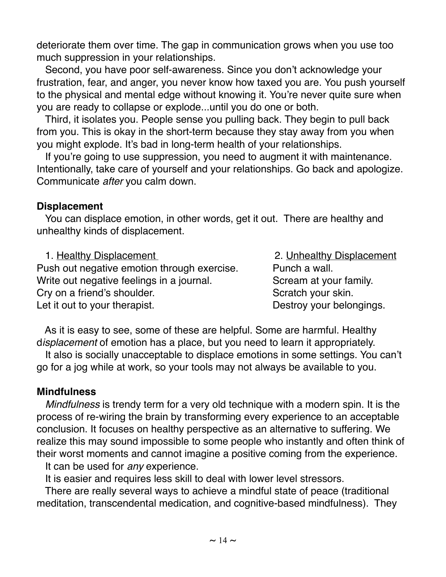deteriorate them over time. The gap in communication grows when you use too much suppression in your relationships.

 Second, you have poor self-awareness. Since you don't acknowledge your frustration, fear, and anger, you never know how taxed you are. You push yourself to the physical and mental edge without knowing it. You're never quite sure when you are ready to collapse or explode...until you do one or both.

 Third, it isolates you. People sense you pulling back. They begin to pull back from you. This is okay in the short-term because they stay away from you when you might explode. It's bad in long-term health of your relationships.

 If you're going to use suppression, you need to augment it with maintenance. Intentionally, take care of yourself and your relationships. Go back and apologize. Communicate *after* you calm down.

### **Displacement**

 You can displace emotion, in other words, get it out. There are healthy and unhealthy kinds of displacement.

1. Healthy Displacement 2. Unhealthy Displacement Push out negative emotion through exercise. Punch a wall. Write out negative feelings in a journal. Scream at your family. Cry on a friend's shoulder. Scratch your skin. Let it out to your therapist. Destroy your belongings.

 As it is easy to see, some of these are helpful. Some are harmful. Healthy d*isplacement* of emotion has a place, but you need to learn it appropriately.

 It also is socially unacceptable to displace emotions in some settings. You can't go for a jog while at work, so your tools may not always be available to you.

### **Mindfulness**

 *Mindfulness* is trendy term for a very old technique with a modern spin. It is the process of re-wiring the brain by transforming every experience to an acceptable conclusion. It focuses on healthy perspective as an alternative to suffering. We realize this may sound impossible to some people who instantly and often think of their worst moments and cannot imagine a positive coming from the experience.

It can be used for *any* experience.

It is easier and requires less skill to deal with lower level stressors.

 There are really several ways to achieve a mindful state of peace (traditional meditation, transcendental medication, and cognitive-based mindfulness). They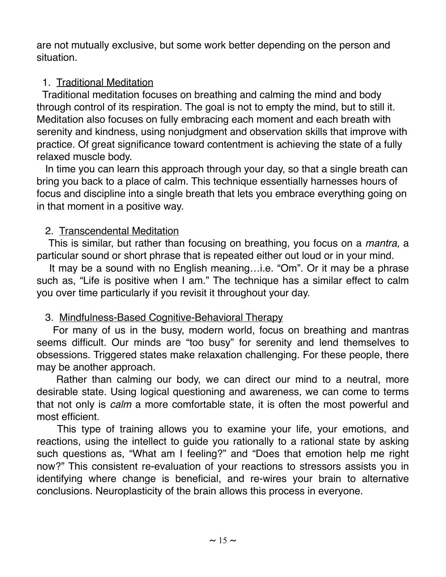are not mutually exclusive, but some work better depending on the person and situation.

### 1. Traditional Meditation

Traditional meditation focuses on breathing and calming the mind and body through control of its respiration. The goal is not to empty the mind, but to still it. Meditation also focuses on fully embracing each moment and each breath with serenity and kindness, using nonjudgment and observation skills that improve with practice. Of great significance toward contentment is achieving the state of a fully relaxed muscle body.

 In time you can learn this approach through your day, so that a single breath can bring you back to a place of calm. This technique essentially harnesses hours of focus and discipline into a single breath that lets you embrace everything going on in that moment in a positive way.

### 2. Transcendental Meditation

This is similar, but rather than focusing on breathing, you focus on a *mantra,* a particular sound or short phrase that is repeated either out loud or in your mind.

 It may be a sound with no English meaning…i.e. "Om". Or it may be a phrase such as, "Life is positive when I am." The technique has a similar effect to calm you over time particularly if you revisit it throughout your day.

### 3. Mindfulness-Based Cognitive-Behavioral Therapy

For many of us in the busy, modern world, focus on breathing and mantras seems difficult. Our minds are "too busy" for serenity and lend themselves to obsessions. Triggered states make relaxation challenging. For these people, there may be another approach.

 Rather than calming our body, we can direct our mind to a neutral, more desirable state. Using logical questioning and awareness, we can come to terms that not only is *calm* a more comfortable state, it is often the most powerful and most efficient.

 This type of training allows you to examine your life, your emotions, and reactions, using the intellect to guide you rationally to a rational state by asking such questions as, "What am I feeling?" and "Does that emotion help me right now?" This consistent re-evaluation of your reactions to stressors assists you in identifying where change is beneficial, and re-wires your brain to alternative conclusions. Neuroplasticity of the brain allows this process in everyone.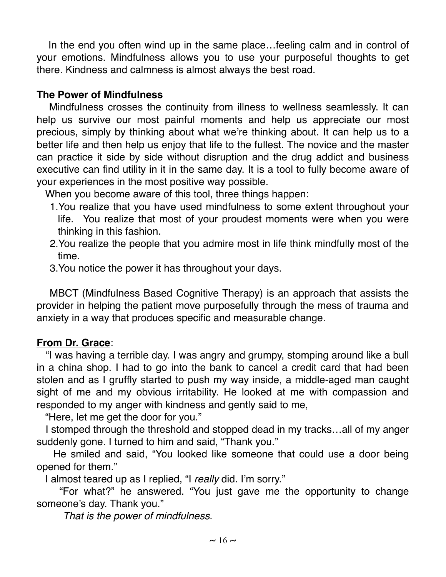In the end you often wind up in the same place…feeling calm and in control of your emotions. Mindfulness allows you to use your purposeful thoughts to get there. Kindness and calmness is almost always the best road.

### **The Power of Mindfulness**

 Mindfulness crosses the continuity from illness to wellness seamlessly. It can help us survive our most painful moments and help us appreciate our most precious, simply by thinking about what we're thinking about. It can help us to a better life and then help us enjoy that life to the fullest. The novice and the master can practice it side by side without disruption and the drug addict and business executive can find utility in it in the same day. It is a tool to fully become aware of your experiences in the most positive way possible.

When you become aware of this tool, three things happen:

- 1.You realize that you have used mindfulness to some extent throughout your life. You realize that most of your proudest moments were when you were thinking in this fashion.
- 2.You realize the people that you admire most in life think mindfully most of the time.
- 3.You notice the power it has throughout your days.

 MBCT (Mindfulness Based Cognitive Therapy) is an approach that assists the provider in helping the patient move purposefully through the mess of trauma and anxiety in a way that produces specific and measurable change.

### **From Dr. Grace**:

 "I was having a terrible day. I was angry and grumpy, stomping around like a bull in a china shop. I had to go into the bank to cancel a credit card that had been stolen and as I gruffly started to push my way inside, a middle-aged man caught sight of me and my obvious irritability. He looked at me with compassion and responded to my anger with kindness and gently said to me,

"Here, let me get the door for you."

 I stomped through the threshold and stopped dead in my tracks…all of my anger suddenly gone. I turned to him and said, "Thank you."

 He smiled and said, "You looked like someone that could use a door being opened for them."

I almost teared up as I replied, "I *really* did. I'm sorry."

 "For what?" he answered. "You just gave me the opportunity to change someone's day. Thank you."

*That is the power of mindfulness*.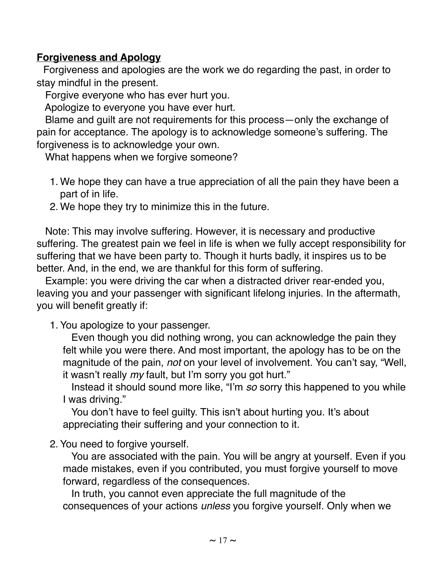### **Forgiveness and Apology**

Forgiveness and apologies are the work we do regarding the past, in order to stay mindful in the present.

Forgive everyone who has ever hurt you.

Apologize to everyone you have ever hurt.

 Blame and guilt are not requirements for this process—only the exchange of pain for acceptance. The apology is to acknowledge someone's suffering. The forgiveness is to acknowledge your own.

What happens when we forgive someone?

- 1. We hope they can have a true appreciation of all the pain they have been a part of in life.
- 2. We hope they try to minimize this in the future.

 Note: This may involve suffering. However, it is necessary and productive suffering. The greatest pain we feel in life is when we fully accept responsibility for suffering that we have been party to. Though it hurts badly, it inspires us to be better. And, in the end, we are thankful for this form of suffering.

 Example: you were driving the car when a distracted driver rear-ended you, leaving you and your passenger with significant lifelong injuries. In the aftermath, you will benefit greatly if:

1. You apologize to your passenger.

 Even though you did nothing wrong, you can acknowledge the pain they felt while you were there. And most important, the apology has to be on the magnitude of the pain, *not* on your level of involvement. You can't say, "Well, it wasn't really *my* fault, but I'm sorry you got hurt."

 Instead it should sound more like, "I'm *so* sorry this happened to you while I was driving."

 You don't have to feel guilty. This isn't about hurting you. It's about appreciating their suffering and your connection to it*.*

2. You need to forgive yourself.

 You are associated with the pain. You will be angry at yourself. Even if you made mistakes, even if you contributed, you must forgive yourself to move forward, regardless of the consequences.

 In truth, you cannot even appreciate the full magnitude of the consequences of your actions *unless* you forgive yourself. Only when we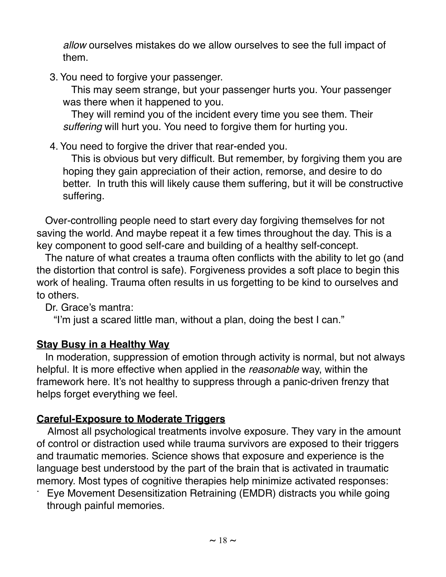*allow* ourselves mistakes do we allow ourselves to see the full impact of them.

3. You need to forgive your passenger.

 This may seem strange, but your passenger hurts you. Your passenger was there when it happened to you.

 They will remind you of the incident every time you see them. Their *suffering* will hurt you. You need to forgive them for hurting you.

4. You need to forgive the driver that rear-ended you.

 This is obvious but very difficult. But remember, by forgiving them you are hoping they gain appreciation of their action, remorse, and desire to do better. In truth this will likely cause them suffering, but it will be constructive suffering.

Over-controlling people need to start every day forgiving themselves for not saving the world. And maybe repeat it a few times throughout the day. This is a key component to good self-care and building of a healthy self-concept.

 The nature of what creates a trauma often conflicts with the ability to let go (and the distortion that control is safe). Forgiveness provides a soft place to begin this work of healing. Trauma often results in us forgetting to be kind to ourselves and to others.

Dr. Grace's mantra:

"I'm just a scared little man, without a plan, doing the best I can."

### **Stay Busy in a Healthy Way**

In moderation, suppression of emotion through activity is normal, but not always helpful. It is more effective when applied in the *reasonable* way, within the framework here. It's not healthy to suppress through a panic-driven frenzy that helps forget everything we feel.

### **Careful-Exposure to Moderate Triggers**

 Almost all psychological treatments involve exposure. They vary in the amount of control or distraction used while trauma survivors are exposed to their triggers and traumatic memories. Science shows that exposure and experience is the language best understood by the part of the brain that is activated in traumatic memory. Most types of cognitive therapies help minimize activated responses:

Eye Movement Desensitization Retraining (EMDR) distracts you while going through painful memories.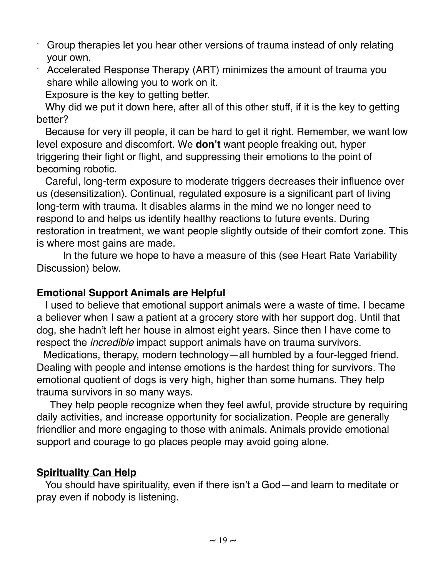- Group therapies let you hear other versions of trauma instead of only relating your own.
- Accelerated Response Therapy (ART) minimizes the amount of trauma you share while allowing you to work on it.
	- Exposure is the key to getting better.

 Why did we put it down here, after all of this other stuff, if it is the key to getting better?

 Because for very ill people, it can be hard to get it right. Remember, we want low level exposure and discomfort. We **don't** want people freaking out, hyper triggering their fight or flight, and suppressing their emotions to the point of becoming robotic.

Careful, long-term exposure to moderate triggers decreases their influence over us (desensitization). Continual, regulated exposure is a significant part of living long-term with trauma. It disables alarms in the mind we no longer need to respond to and helps us identify healthy reactions to future events. During restoration in treatment, we want people slightly outside of their comfort zone. This is where most gains are made.

In the future we hope to have a measure of this (see Heart Rate Variability Discussion) below.

### **Emotional Support Animals are Helpful**

 I used to believe that emotional support animals were a waste of time. I became a believer when I saw a patient at a grocery store with her support dog. Until that dog, she hadn't left her house in almost eight years. Since then I have come to respect the *incredible* impact support animals have on trauma survivors.

 Medications, therapy, modern technology—all humbled by a four-legged friend. Dealing with people and intense emotions is the hardest thing for survivors. The emotional quotient of dogs is very high, higher than some humans. They help trauma survivors in so many ways.

They help people recognize when they feel awful, provide structure by requiring daily activities, and increase opportunity for socialization. People are generally friendlier and more engaging to those with animals. Animals provide emotional support and courage to go places people may avoid going alone.

### **Spirituality Can Help**

 You should have spirituality, even if there isn't a God—and learn to meditate or pray even if nobody is listening.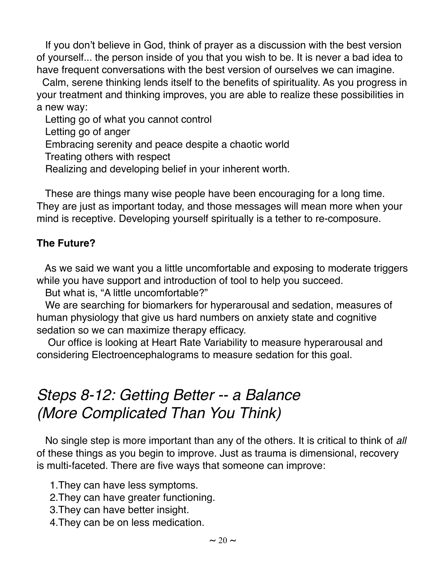If you don't believe in God, think of prayer as a discussion with the best version of yourself... the person inside of you that you wish to be. It is never a bad idea to have frequent conversations with the best version of ourselves we can imagine.

 Calm, serene thinking lends itself to the benefits of spirituality. As you progress in your treatment and thinking improves, you are able to realize these possibilities in a new way:

 Letting go of what you cannot control Letting go of anger Embracing serenity and peace despite a chaotic world Treating others with respect Realizing and developing belief in your inherent worth.

 These are things many wise people have been encouraging for a long time. They are just as important today, and those messages will mean more when your mind is receptive. Developing yourself spiritually is a tether to re-composure.

### **The Future?**

 As we said we want you a little uncomfortable and exposing to moderate triggers while you have support and introduction of tool to help you succeed.

But what is, "A little uncomfortable?"

 We are searching for biomarkers for hyperarousal and sedation, measures of human physiology that give us hard numbers on anxiety state and cognitive sedation so we can maximize therapy efficacy.

 Our office is looking at Heart Rate Variability to measure hyperarousal and considering Electroencephalograms to measure sedation for this goal.

# *Steps 8-12: Getting Better -- a Balance (More Complicated Than You Think)*

 No single step is more important than any of the others. It is critical to think of *all* of these things as you begin to improve. Just as trauma is dimensional, recovery is multi-faceted. There are five ways that someone can improve:

1.They can have less symptoms.

- 2.They can have greater functioning.
- 3.They can have better insight.
- 4.They can be on less medication.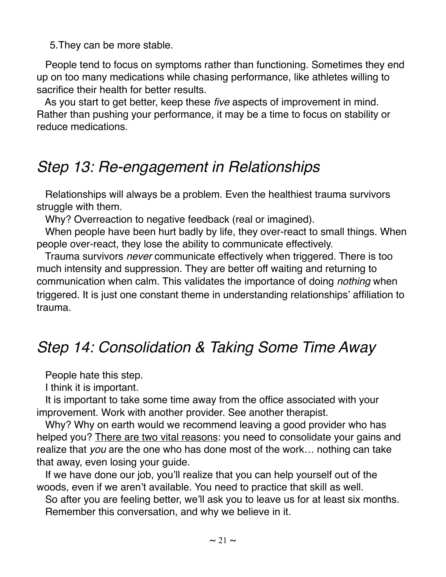5.They can be more stable.

 People tend to focus on symptoms rather than functioning. Sometimes they end up on too many medications while chasing performance, like athletes willing to sacrifice their health for better results.

 As you start to get better, keep these *five* aspects of improvement in mind. Rather than pushing your performance, it may be a time to focus on stability or reduce medications.

# *Step 13: Re-engagement in Relationships*

 Relationships will always be a problem. Even the healthiest trauma survivors struggle with them.

Why? Overreaction to negative feedback (real or imagined).

 When people have been hurt badly by life, they over-react to small things. When people over-react, they lose the ability to communicate effectively.

 Trauma survivors *never* communicate effectively when triggered. There is too much intensity and suppression. They are better off waiting and returning to communication when calm. This validates the importance of doing *nothing* when triggered. It is just one constant theme in understanding relationships' affiliation to trauma.

# *Step 14: Consolidation & Taking Some Time Away*

People hate this step.

I think it is important.

 It is important to take some time away from the office associated with your improvement. Work with another provider. See another therapist.

 Why? Why on earth would we recommend leaving a good provider who has helped you? There are two vital reasons: you need to consolidate your gains and realize that *you* are the one who has done most of the work… nothing can take that away, even losing your guide.

 If we have done our job, you'll realize that you can help yourself out of the woods, even if we aren't available. You need to practice that skill as well.

 So after you are feeling better, we'll ask you to leave us for at least six months. Remember this conversation, and why we believe in it.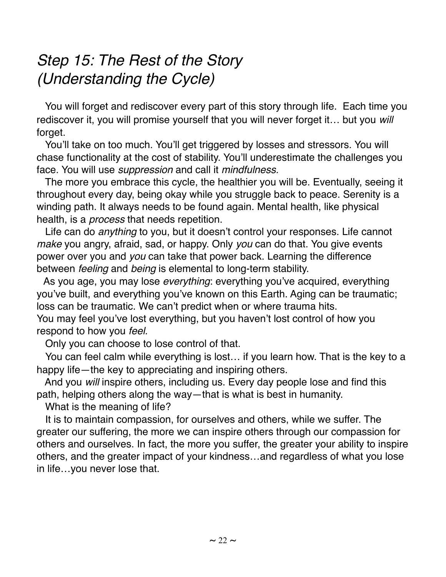# *Step 15: The Rest of the Story (Understanding the Cycle)*

 You will forget and rediscover every part of this story through life. Each time you rediscover it, you will promise yourself that you will never forget it… but you *will* forget.

You'll take on too much. You'll get triggered by losses and stressors. You will chase functionality at the cost of stability. You'll underestimate the challenges you face. You will use *suppression* and call it *mindfulness.* 

 The more you embrace this cycle, the healthier you will be. Eventually, seeing it throughout every day, being okay while you struggle back to peace. Serenity is a winding path. It always needs to be found again. Mental health, like physical health, is a *process* that needs repetition.

 Life can do *anything* to you, but it doesn't control your responses. Life cannot *make* you angry, afraid, sad, or happy. Only *you* can do that. You give events power over you and *you* can take that power back. Learning the difference between *feeling* and *being* is elemental to long-term stability.

 As you age, you may lose *everything*: everything you've acquired, everything you've built, and everything you've known on this Earth. Aging can be traumatic; loss can be traumatic. We can't predict when or where trauma hits. You may feel you've lost everything, but you haven't lost control of how you

respond to how you *feel.*

Only you can choose to lose control of that.

You can feel calm while everything is lost… if you learn how. That is the key to a happy life—the key to appreciating and inspiring others.

 And you *will* inspire others, including us. Every day people lose and find this path, helping others along the way—that is what is best in humanity.

What is the meaning of life?

 It is to maintain compassion, for ourselves and others, while we suffer. The greater our suffering, the more we can inspire others through our compassion for others and ourselves. In fact, the more you suffer, the greater your ability to inspire others, and the greater impact of your kindness…and regardless of what you lose in life…you never lose that.